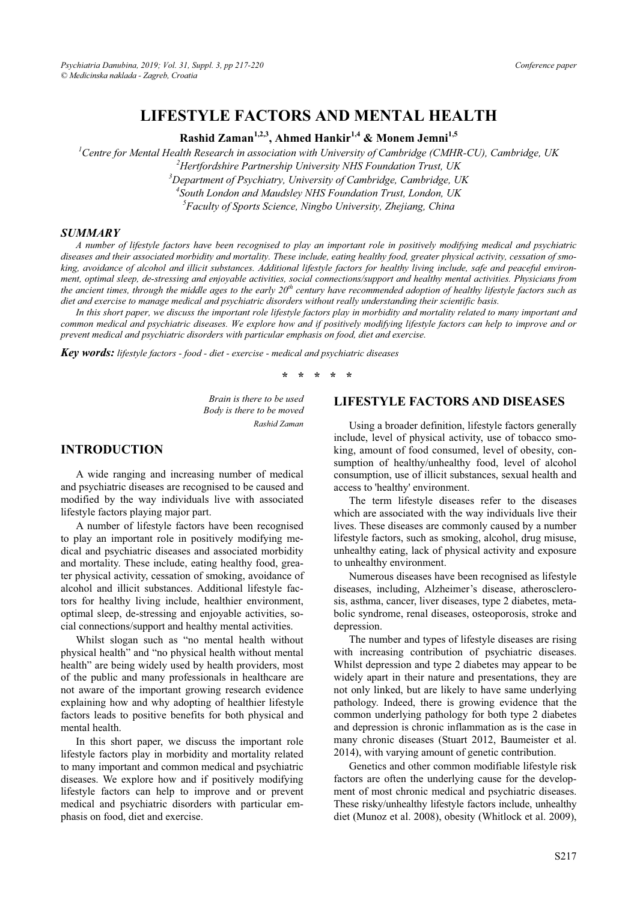## **LIFESTYLE FACTORS AND MENTAL HEALTH**

Rashid Zaman<sup>1,2,3</sup>, Ahmed Hankir<sup>1,4</sup> & Monem Jemni<sup>1,5</sup>

<sup>1</sup> Centre for Mental Health Research in association with University of Cambridge (CMHR-CU), Cambridge, UK <sup>2</sup> Houtfordshine Baytwayshin University MHS Equadation Trust UK <sup>2</sup> Hertfordshire Partnership University NHS Foundation Trust, UK *Department of Psychiatry, University of Cambridge, Cambridge, UK 4 South London and Maudsley NHS Foundation Trust, London, UK* 

*5 Faculty of Sports Science, Ningbo University, Zhejiang, China* 

#### *SUMMARY*

*A number of lifestyle factors have been recognised to play an important role in positively modifying medical and psychiatric diseases and their associated morbidity and mortality. These include, eating healthy food, greater physical activity, cessation of smoking, avoidance of alcohol and illicit substances. Additional lifestyle factors for healthy living include, safe and peaceful environment, optimal sleep, de-stressing and enjoyable activities, social connections/support and healthy mental activities. Physicians from the ancient times, through the middle ages to the early*  $20<sup>th</sup>$  century have recommended adoption of healthy lifestyle factors such as *diet and exercise to manage medical and psychiatric disorders without really understanding their scientific basis.* 

*In this short paper, we discuss the important role lifestyle factors play in morbidity and mortality related to many important and common medical and psychiatric diseases. We explore how and if positively modifying lifestyle factors can help to improve and or prevent medical and psychiatric disorders with particular emphasis on food, diet and exercise.* 

*Key words: lifestyle factors - food - diet - exercise - medical and psychiatric diseases* 

**\* \* \* \* \*** 

*Brain is there to be used Body is there to be moved Rashid Zaman* 

### **INTRODUCTION**

A wide ranging and increasing number of medical and psychiatric diseases are recognised to be caused and modified by the way individuals live with associated lifestyle factors playing major part.

A number of lifestyle factors have been recognised to play an important role in positively modifying medical and psychiatric diseases and associated morbidity and mortality. These include, eating healthy food, greater physical activity, cessation of smoking, avoidance of alcohol and illicit substances. Additional lifestyle factors for healthy living include, healthier environment, optimal sleep, de-stressing and enjoyable activities, social connections/support and healthy mental activities.

Whilst slogan such as "no mental health without physical health" and "no physical health without mental health" are being widely used by health providers, most of the public and many professionals in healthcare are not aware of the important growing research evidence explaining how and why adopting of healthier lifestyle factors leads to positive benefits for both physical and mental health.

In this short paper, we discuss the important role lifestyle factors play in morbidity and mortality related to many important and common medical and psychiatric diseases. We explore how and if positively modifying lifestyle factors can help to improve and or prevent medical and psychiatric disorders with particular emphasis on food, diet and exercise.

#### **LIFESTYLE FACTORS AND DISEASES**

Using a broader definition, lifestyle factors generally include, level of physical activity, use of tobacco smoking, amount of food consumed, level of obesity, consumption of healthy/unhealthy food, level of alcohol consumption, use of illicit substances, sexual health and access to 'healthy' environment.

The term lifestyle diseases refer to the diseases which are associated with the way individuals live their lives. These diseases are commonly caused by a number lifestyle factors, such as smoking, alcohol, drug misuse, unhealthy eating, lack of physical activity and exposure to unhealthy environment.

Numerous diseases have been recognised as lifestyle diseases, including, Alzheimer's disease, atherosclerosis, asthma, cancer, liver diseases, type 2 diabetes, metabolic syndrome, renal diseases, osteoporosis, stroke and depression.

The number and types of lifestyle diseases are rising with increasing contribution of psychiatric diseases. Whilst depression and type 2 diabetes may appear to be widely apart in their nature and presentations, they are not only linked, but are likely to have same underlying pathology. Indeed, there is growing evidence that the common underlying pathology for both type 2 diabetes and depression is chronic inflammation as is the case in many chronic diseases (Stuart 2012, Baumeister et al. 2014), with varying amount of genetic contribution.

Genetics and other common modifiable lifestyle risk factors are often the underlying cause for the development of most chronic medical and psychiatric diseases. These risky/unhealthy lifestyle factors include, unhealthy diet (Munoz et al. 2008), obesity (Whitlock et al. 2009),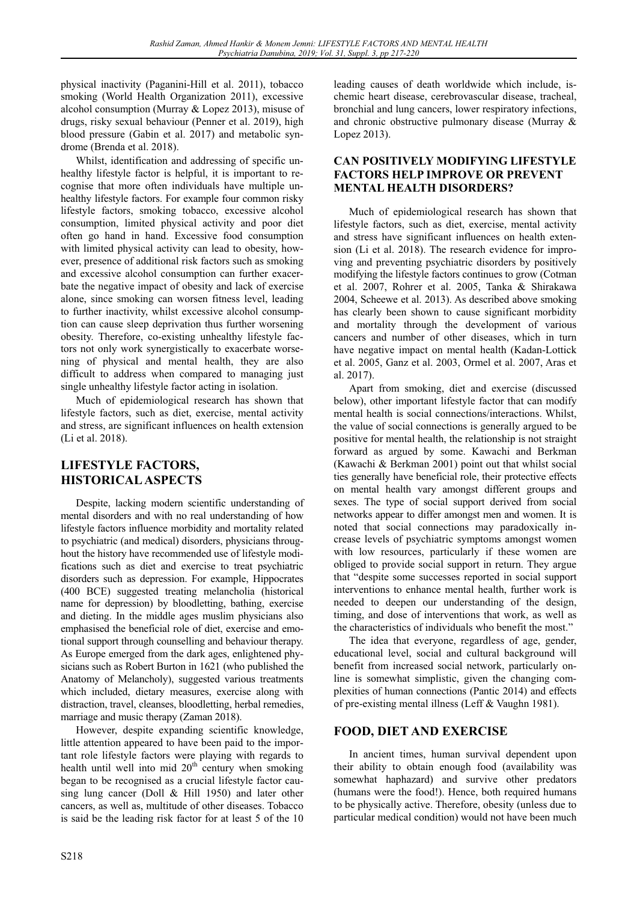physical inactivity (Paganini-Hill et al. 2011), tobacco smoking (World Health Organization 2011), excessive alcohol consumption (Murray & Lopez 2013), misuse of drugs, risky sexual behaviour (Penner et al. 2019), high blood pressure (Gabin et al. 2017) and metabolic syndrome (Brenda et al. 2018).

Whilst, identification and addressing of specific unhealthy lifestyle factor is helpful, it is important to recognise that more often individuals have multiple unhealthy lifestyle factors. For example four common risky lifestyle factors, smoking tobacco, excessive alcohol consumption, limited physical activity and poor diet often go hand in hand. Excessive food consumption with limited physical activity can lead to obesity, however, presence of additional risk factors such as smoking and excessive alcohol consumption can further exacerbate the negative impact of obesity and lack of exercise alone, since smoking can worsen fitness level, leading to further inactivity, whilst excessive alcohol consumption can cause sleep deprivation thus further worsening obesity. Therefore, co-existing unhealthy lifestyle factors not only work synergistically to exacerbate worsening of physical and mental health, they are also difficult to address when compared to managing just single unhealthy lifestyle factor acting in isolation.

Much of epidemiological research has shown that lifestyle factors, such as diet, exercise, mental activity and stress, are significant influences on health extension (Li et al. 2018).

# **LIFESTYLE FACTORS, HISTORICAL ASPECTS**

Despite, lacking modern scientific understanding of mental disorders and with no real understanding of how lifestyle factors influence morbidity and mortality related to psychiatric (and medical) disorders, physicians throughout the history have recommended use of lifestyle modifications such as diet and exercise to treat psychiatric disorders such as depression. For example, Hippocrates (400 BCE) suggested treating melancholia (historical name for depression) by bloodletting, bathing, exercise and dieting. In the middle ages muslim physicians also emphasised the beneficial role of diet, exercise and emotional support through counselling and behaviour therapy. As Europe emerged from the dark ages, enlightened physicians such as Robert Burton in 1621 (who published the Anatomy of Melancholy), suggested various treatments which included, dietary measures, exercise along with distraction, travel, cleanses, bloodletting, herbal remedies, marriage and music therapy (Zaman 2018).

However, despite expanding scientific knowledge, little attention appeared to have been paid to the important role lifestyle factors were playing with regards to health until well into mid  $20<sup>th</sup>$  century when smoking began to be recognised as a crucial lifestyle factor causing lung cancer (Doll & Hill 1950) and later other cancers, as well as, multitude of other diseases. Tobacco is said be the leading risk factor for at least 5 of the 10

leading causes of death worldwide which include, ischemic heart disease, cerebrovascular disease, tracheal, bronchial and lung cancers, lower respiratory infections, and chronic obstructive pulmonary disease (Murray & Lopez 2013).

### **CAN POSITIVELY MODIFYING LIFESTYLE FACTORS HELP IMPROVE OR PREVENT MENTAL HEALTH DISORDERS?**

Much of epidemiological research has shown that lifestyle factors, such as diet, exercise, mental activity and stress have significant influences on health extension (Li et al. 2018). The research evidence for improving and preventing psychiatric disorders by positively modifying the lifestyle factors continues to grow (Cotman et al. 2007, Rohrer et al. 2005, Tanka & Shirakawa 2004, Scheewe et al. 2013). As described above smoking has clearly been shown to cause significant morbidity and mortality through the development of various cancers and number of other diseases, which in turn have negative impact on mental health (Kadan-Lottick et al. 2005, Ganz et al. 2003, Ormel et al. 2007, Aras et al. 2017).

Apart from smoking, diet and exercise (discussed below), other important lifestyle factor that can modify mental health is social connections/interactions. Whilst, the value of social connections is generally argued to be positive for mental health, the relationship is not straight forward as argued by some. Kawachi and Berkman (Kawachi & Berkman 2001) point out that whilst social ties generally have beneficial role, their protective effects on mental health vary amongst different groups and sexes. The type of social support derived from social networks appear to differ amongst men and women. It is noted that social connections may paradoxically increase levels of psychiatric symptoms amongst women with low resources, particularly if these women are obliged to provide social support in return. They argue that "despite some successes reported in social support interventions to enhance mental health, further work is needed to deepen our understanding of the design, timing, and dose of interventions that work, as well as the characteristics of individuals who benefit the most."

The idea that everyone, regardless of age, gender, educational level, social and cultural background will benefit from increased social network, particularly online is somewhat simplistic, given the changing complexities of human connections (Pantic 2014) and effects of pre-existing mental illness (Leff & Vaughn 1981).

## **FOOD, DIET AND EXERCISE**

In ancient times, human survival dependent upon their ability to obtain enough food (availability was somewhat haphazard) and survive other predators (humans were the food!). Hence, both required humans to be physically active. Therefore, obesity (unless due to particular medical condition) would not have been much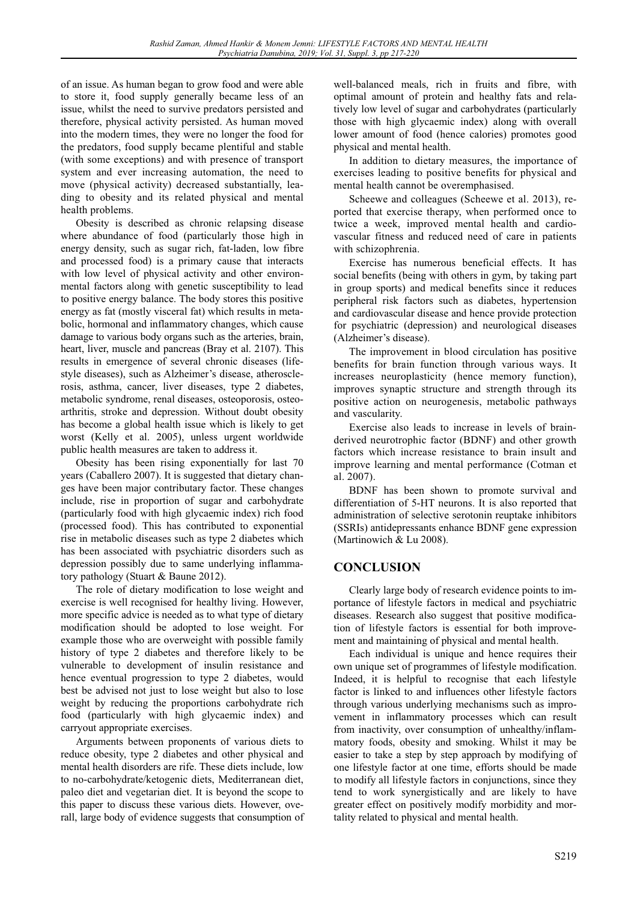of an issue. As human began to grow food and were able to store it, food supply generally became less of an issue, whilst the need to survive predators persisted and therefore, physical activity persisted. As human moved into the modern times, they were no longer the food for the predators, food supply became plentiful and stable (with some exceptions) and with presence of transport system and ever increasing automation, the need to move (physical activity) decreased substantially, leading to obesity and its related physical and mental health problems.

Obesity is described as chronic relapsing disease where abundance of food (particularly those high in energy density, such as sugar rich, fat-laden, low fibre and processed food) is a primary cause that interacts with low level of physical activity and other environmental factors along with genetic susceptibility to lead to positive energy balance. The body stores this positive energy as fat (mostly visceral fat) which results in metabolic, hormonal and inflammatory changes, which cause damage to various body organs such as the arteries, brain, heart, liver, muscle and pancreas (Bray et al. 2107). This results in emergence of several chronic diseases (lifestyle diseases), such as Alzheimer's disease, atherosclerosis, asthma, cancer, liver diseases, type 2 diabetes, metabolic syndrome, renal diseases, osteoporosis, osteoarthritis, stroke and depression. Without doubt obesity has become a global health issue which is likely to get worst (Kelly et al. 2005), unless urgent worldwide public health measures are taken to address it.

Obesity has been rising exponentially for last 70 years (Caballero 2007). It is suggested that dietary changes have been major contributary factor. These changes include, rise in proportion of sugar and carbohydrate (particularly food with high glycaemic index) rich food (processed food). This has contributed to exponential rise in metabolic diseases such as type 2 diabetes which has been associated with psychiatric disorders such as depression possibly due to same underlying inflammatory pathology (Stuart & Baune 2012).

The role of dietary modification to lose weight and exercise is well recognised for healthy living. However, more specific advice is needed as to what type of dietary modification should be adopted to lose weight. For example those who are overweight with possible family history of type 2 diabetes and therefore likely to be vulnerable to development of insulin resistance and hence eventual progression to type 2 diabetes, would best be advised not just to lose weight but also to lose weight by reducing the proportions carbohydrate rich food (particularly with high glycaemic index) and carryout appropriate exercises.

Arguments between proponents of various diets to reduce obesity, type 2 diabetes and other physical and mental health disorders are rife. These diets include, low to no-carbohydrate/ketogenic diets, Mediterranean diet, paleo diet and vegetarian diet. It is beyond the scope to this paper to discuss these various diets. However, overall, large body of evidence suggests that consumption of well-balanced meals, rich in fruits and fibre, with optimal amount of protein and healthy fats and relatively low level of sugar and carbohydrates (particularly those with high glycaemic index) along with overall lower amount of food (hence calories) promotes good physical and mental health.

In addition to dietary measures, the importance of exercises leading to positive benefits for physical and mental health cannot be overemphasised.

Scheewe and colleagues (Scheewe et al. 2013), reported that exercise therapy, when performed once to twice a week, improved mental health and cardiovascular fitness and reduced need of care in patients with schizophrenia.

Exercise has numerous beneficial effects. It has social benefits (being with others in gym, by taking part in group sports) and medical benefits since it reduces peripheral risk factors such as diabetes, hypertension and cardiovascular disease and hence provide protection for psychiatric (depression) and neurological diseases (Alzheimer's disease).

The improvement in blood circulation has positive benefits for brain function through various ways. It increases neuroplasticity (hence memory function), improves synaptic structure and strength through its positive action on neurogenesis, metabolic pathways and vascularity.

Exercise also leads to increase in levels of brainderived neurotrophic factor (BDNF) and other growth factors which increase resistance to brain insult and improve learning and mental performance (Cotman et al. 2007).

BDNF has been shown to promote survival and differentiation of 5-HT neurons. It is also reported that administration of selective serotonin reuptake inhibitors (SSRIs) antidepressants enhance BDNF gene expression (Martinowich & Lu 2008).

### **CONCLUSION**

Clearly large body of research evidence points to importance of lifestyle factors in medical and psychiatric diseases. Research also suggest that positive modification of lifestyle factors is essential for both improvement and maintaining of physical and mental health.

Each individual is unique and hence requires their own unique set of programmes of lifestyle modification. Indeed, it is helpful to recognise that each lifestyle factor is linked to and influences other lifestyle factors through various underlying mechanisms such as improvement in inflammatory processes which can result from inactivity, over consumption of unhealthy/inflammatory foods, obesity and smoking. Whilst it may be easier to take a step by step approach by modifying of one lifestyle factor at one time, efforts should be made to modify all lifestyle factors in conjunctions, since they tend to work synergistically and are likely to have greater effect on positively modify morbidity and mortality related to physical and mental health.